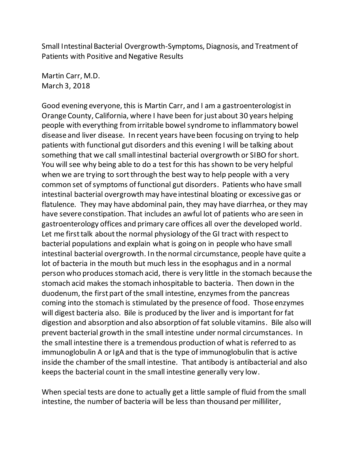Small Intestinal Bacterial Overgrowth-Symptoms, Diagnosis, and Treatment of Patients with Positive and Negative Results

Martin Carr, M.D. March 3, 2018

Good evening everyone, this is Martin Carr, and I am a gastroenterologist in Orange County, California, where I have been for just about 30 years helping people with everything from irritable bowel syndrome to inflammatory bowel disease and liver disease. In recent years have been focusing on trying to help patients with functional gut disorders and this evening I will be talking about something that we call small intestinal bacterial overgrowth or SIBO for short. You will see why being able to do a test for this has shown to be very helpful when we are trying to sort through the best way to help people with a very common set of symptoms of functional gut disorders. Patients who have small intestinal bacterial overgrowth may have intestinal bloating or excessive gas or flatulence. They may have abdominal pain, they may have diarrhea, or they may have severe constipation. That includes an awful lot of patients who are seen in gastroenterology offices and primary care offices all over the developed world. Let me first talk about the normal physiology of the GI tract with respect to bacterial populations and explain what is going on in people who have small intestinal bacterial overgrowth. In the normal circumstance, people have quite a lot of bacteria in the mouth but much less in the esophagus and in a normal person who produces stomach acid, there is very little in the stomach because the stomach acid makes the stomach inhospitable to bacteria. Then down in the duodenum, the first part of the small intestine, enzymes from the pancreas coming into the stomach is stimulated by the presence of food. Those enzymes will digest bacteria also. Bile is produced by the liver and is important for fat digestion and absorption and also absorption of fat soluble vitamins. Bile also will prevent bacterial growth in the small intestine under normal circumstances. In the small intestine there is a tremendous production of what is referred to as immunoglobulin A or IgA and that is the type of immunoglobulin that is active inside the chamber of the small intestine. That antibody is antibacterial and also keeps the bacterial count in the small intestine generally very low.

When special tests are done to actually get a little sample of fluid from the small intestine, the number of bacteria will be less than thousand per milliliter,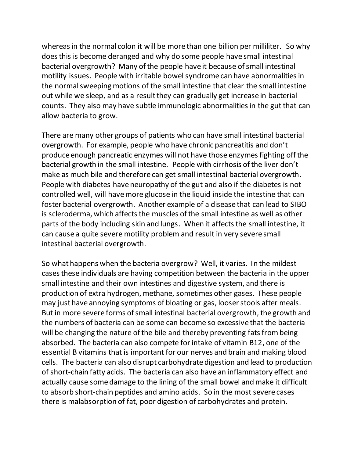whereas in the normal colon it will be more than one billion per milliliter. So why does this is become deranged and why do some people have small intestinal bacterial overgrowth? Many of the people have it because of small intestinal motility issues. People with irritable bowel syndrome can have abnormalities in the normal sweeping motions of the small intestine that clear the small intestine out while we sleep, and as a result they can gradually get increase in bacterial counts. They also may have subtle immunologic abnormalities in the gut that can allow bacteria to grow.

There are many other groups of patients who can have small intestinal bacterial overgrowth. For example, people who have chronic pancreatitis and don't produce enough pancreatic enzymes will not have those enzymes fighting off the bacterial growth in the small intestine. People with cirrhosis of the liver don't make as much bile and therefore can get small intestinal bacterial overgrowth. People with diabetes have neuropathy of the gut and also if the diabetes is not controlled well, will have more glucose in the liquid inside the intestine that can foster bacterial overgrowth. Another example of a disease that can lead to SIBO is scleroderma, which affects the muscles of the small intestine as well as other parts of the body including skin and lungs. When it affects the small intestine, it can cause a quite severe motility problem and result in very severe small intestinal bacterial overgrowth.

So what happens when the bacteria overgrow? Well, it varies. In the mildest cases these individuals are having competition between the bacteria in the upper small intestine and their own intestines and digestive system, and there is production of extra hydrogen, methane, sometimes other gases. These people may just have annoying symptoms of bloating or gas, looser stools after meals. But in more severe forms of small intestinal bacterial overgrowth, the growth and the numbers of bacteria can be some can become so excessive that the bacteria will be changing the nature of the bile and thereby preventing fats frombeing absorbed. The bacteria can also compete for intake of vitamin B12, one of the essential B vitamins that is important for our nerves and brain and making blood cells. The bacteria can also disrupt carbohydrate digestion and lead to production of short-chain fatty acids. The bacteria can also have an inflammatory effect and actually cause some damage to the lining of the small bowel and make it difficult to absorb short-chain peptides and amino acids. So in the most severe cases there is malabsorption of fat, poor digestion of carbohydrates and protein.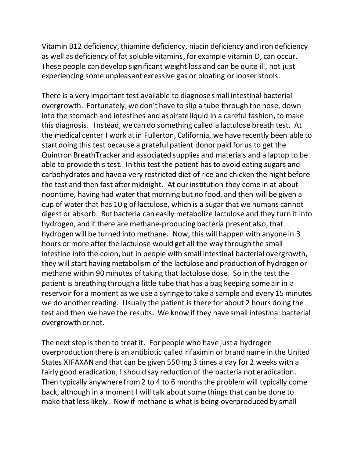Vitamin B12 deficiency, thiamine deficiency, niacin deficiency and iron deficiency as well as deficiency of fat soluble vitamins, for example vitamin D, can occur. These people can develop significant weight loss and can be quite ill, not just experiencing some unpleasant excessive gas or bloating or looser stools.

There is a very important test available to diagnose small intestinal bacterial overgrowth. Fortunately, we don't have to slip a tube through the nose, down into the stomach and intestines and aspirate liquid in a careful fashion, to make this diagnosis. Instead, we can do something called a lactulose breath test. At the medical center I work at in Fullerton, California, we have recently been able to start doing this test because a grateful patient donor paid for us to get the Quintron BreathTracker and associated supplies and materials and a laptop to be able to provide this test. In this test the patient has to avoid eating sugars and carbohydrates and have a very restricted diet of rice and chicken the night before the test and then fast after midnight. At our institution they come in at about noontime, having had water that morning but no food, and then will be given a cup of water that has 10 g of lactulose, which is a sugar that we humans cannot digest or absorb. But bacteria can easily metabolize lactulose and they turn it into hydrogen, and if there are methane-producing bacteria present also, that hydrogen will be turned into methane. Now, this will happen with anyone in 3 hours or more after the lactulose would get all the way through the small intestine into the colon, but in people with small intestinal bacterial overgrowth, they will start having metabolism of the lactulose and production of hydrogen or methane within 90 minutes of taking that lactulose dose. So in the test the patient is breathing through a little tube that has a bag keeping some air in a reservoir for a moment as we use a syringe to take a sample and every 15 minutes we do another reading. Usually the patient is there for about 2 hours doing the test and then we have the results. We know if they have small intestinal bacterial overgrowth or not.

The next step is then to treat it. For people who have just a hydrogen overproduction there is an antibiotic called rifaximin or brand name in the United States XIFAXAN and that can be given 550 mg 3 times a day for 2 weeks with a fairly good eradication, I should say reduction of the bacteria not eradication. Then typically anywhere from 2 to 4 to 6 months the problem will typically come back, although in a moment I will talk about some things that can be done to make that less likely. Now if methane is what is being overproduced by small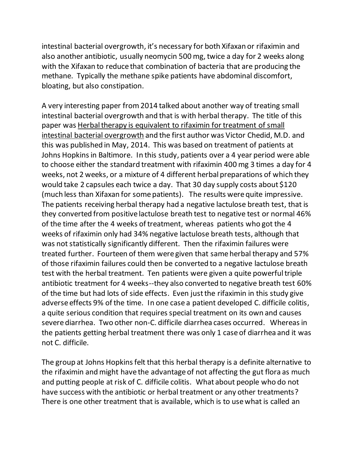intestinal bacterial overgrowth, it's necessary for both Xifaxan or rifaximin and also another antibiotic, usually neomycin 500 mg, twice a day for 2 weeks along with the Xifaxan to reduce that combination of bacteria that are producing the methane. Typically the methane spike patients have abdominal discomfort, bloating, but also constipation.

A very interesting paper from 2014 talked about another way of treating small intestinal bacterial overgrowth and that is with herbal therapy. The title of this paper was Herbal therapy is equivalent to rifaximin for treatment of small intestinal bacterial overgrowth and the first author was Victor Chedid, M.D. and this was published in May, 2014. This was based on treatment of patients at Johns Hopkins in Baltimore. In this study, patients over a 4 year period were able to choose either the standard treatment with rifaximin 400 mg 3 times a day for 4 weeks, not 2 weeks, or a mixture of 4 different herbal preparations of which they would take 2 capsules each twice a day. That 30 day supply costs about \$120 (much less than Xifaxan for some patients). The results were quite impressive. The patients receiving herbal therapy had a negative lactulose breath test, that is they converted from positive lactulose breath test to negative test or normal 46% of the time after the 4 weeks of treatment, whereas patients who got the 4 weeks of rifaximin only had 34% negative lactulose breath tests, although that was not statistically significantly different. Then the rifaximin failures were treated further. Fourteen of them were given that same herbal therapy and 57% of those rifaximin failures could then be converted to a negative lactulose breath test with the herbal treatment. Ten patients were given a quite powerful triple antibiotic treatment for 4 weeks--they also converted to negative breath test 60% of the time but had lots of side effects. Even just the rifaximin in this study give adverse effects 9% of the time. In one case a patient developed C. difficile colitis, a quite serious condition that requires special treatment on its own and causes severe diarrhea. Two other non-C. difficile diarrhea cases occurred. Whereas in the patients getting herbal treatment there was only 1 case of diarrhea and it was not C. difficile.

The group at Johns Hopkins felt that this herbal therapy is a definite alternative to the rifaximin and might have the advantage of not affecting the gut flora as much and putting people at risk of C. difficile colitis. What about people who do not have success with the antibiotic or herbal treatment or any other treatments? There is one other treatment that is available, which is to use what is called an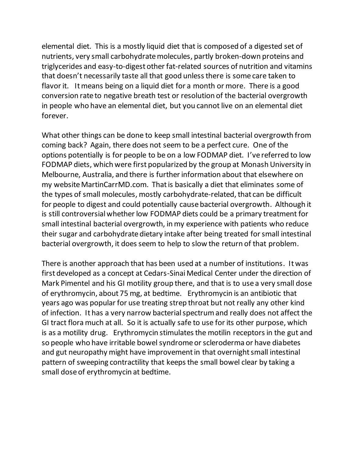elemental diet. This is a mostly liquid diet that is composed of a digested set of nutrients, very small carbohydrate molecules, partly broken-down proteins and triglycerides and easy-to-digest other fat-related sources of nutrition and vitamins that doesn't necessarily taste all that good unless there is some care taken to flavor it. It means being on a liquid diet for a month or more. There is a good conversion rate to negative breath test or resolution of the bacterial overgrowth in people who have an elemental diet, but you cannot live on an elemental diet forever.

What other things can be done to keep small intestinal bacterial overgrowth from coming back? Again, there does not seem to be a perfect cure. One of the options potentially is for people to be on a low FODMAP diet. I've referred to low FODMAP diets, which were first popularized by the group at Monash University in Melbourne, Australia, and there is further information about that elsewhere on my website MartinCarrMD.com. That is basically a diet that eliminates some of the types of small molecules, mostly carbohydrate-related, that can be difficult for people to digest and could potentially cause bacterial overgrowth. Although it is still controversial whether low FODMAP diets could be a primary treatment for small intestinal bacterial overgrowth, in my experience with patients who reduce their sugar and carbohydrate dietary intake after being treated for small intestinal bacterial overgrowth, it does seem to help to slow the return of that problem.

There is another approach that has been used at a number of institutions. Itwas first developed as a concept at Cedars-Sinai Medical Center under the direction of Mark Pimentel and his GI motility group there, and that is to use a very small dose of erythromycin, about 75 mg, at bedtime. Erythromycin is an antibiotic that years ago was popular for use treating strep throat but not really any other kind of infection. It has a very narrow bacterial spectrum and really does not affect the GI tract flora much at all. So it is actually safe to use for its other purpose, which is as a motility drug. Erythromycin stimulates the motilin receptors in the gut and so people who have irritable bowel syndrome or scleroderma or have diabetes and gut neuropathy might have improvement in that overnight small intestinal pattern of sweeping contractility that keeps the small bowel clear by taking a small dose of erythromycin at bedtime.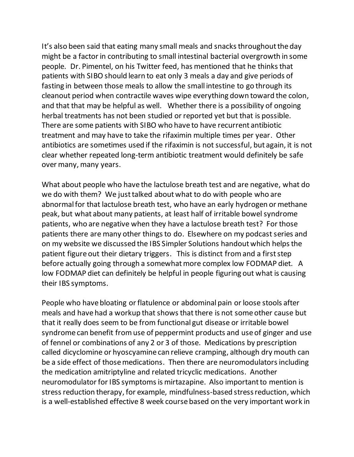It's also been said that eating many small meals and snacks throughout the day might be a factor in contributing to small intestinal bacterial overgrowth in some people. Dr. Pimentel, on his Twitter feed, has mentioned that he thinks that patients with SIBO should learn to eat only 3 meals a day and give periods of fasting in between those meals to allow the small intestine to go through its cleanout period when contractile waves wipe everything down toward the colon, and that that may be helpful as well. Whether there is a possibility of ongoing herbal treatments has not been studied or reported yet but that is possible. There are some patients with SIBO who have to have recurrent antibiotic treatment and may have to take the rifaximin multiple times per year. Other antibiotics are sometimes used if the rifaximin is not successful, but again, it is not clear whether repeated long-term antibiotic treatment would definitely be safe over many, many years.

What about people who have the lactulose breath test and are negative, what do we do with them? We just talked about what to do with people who are abnormal for that lactulose breath test, who have an early hydrogen or methane peak, but what about many patients, at least half of irritable bowel syndrome patients, who are negative when they have a lactulose breath test? For those patients there are many other things to do. Elsewhere on my podcast series and on my website we discussed the IBS Simpler Solutions handout which helps the patient figure out their dietary triggers. This is distinct fromand a first step before actually going through a somewhat more complex low FODMAP diet. A low FODMAP diet can definitely be helpful in people figuring out what is causing their IBS symptoms.

People who have bloating or flatulence or abdominal pain or loose stools after meals and have had a workup that shows that there is not some other cause but that it really does seem to be from functional gut disease or irritable bowel syndrome can benefit from use of peppermint products and use of ginger and use of fennel or combinations of any 2 or 3 of those. Medications by prescription called dicyclomine or hyoscyamine can relieve cramping, although dry mouth can be a side effect of those medications. Then there are neuromodulators including the medication amitriptyline and related tricyclic medications. Another neuromodulator for IBS symptoms is mirtazapine. Also important to mention is stress reduction therapy, for example, mindfulness-based stress reduction, which is a well-established effective 8 week course based on the very important work in